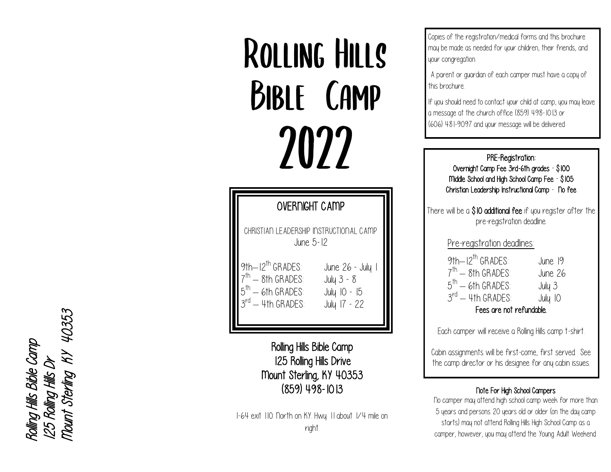ROLLING HILLS **BIBLE CAMP** 2022

| <b>OVERNIGHT CAMP</b>                                                                                                     |                                                                |  |
|---------------------------------------------------------------------------------------------------------------------------|----------------------------------------------------------------|--|
| CHRISTIAN LEADERSHIP INSTRUCTIONAL CAMP<br>June 5-12                                                                      |                                                                |  |
| $9th-12^{th}$ GRADFS:<br>$7^{\text{th}}$ — 8th GRADES:<br>$5^{\text{th}}$ – 6th GRADES:<br>.3 <sup>rd</sup> — 4th GRADES: | June 26 - July 1<br>July 3 - 8<br>July 10 - 15<br>July 17 - 22 |  |

Rolling Hills Bible Camp 125 Rolling Hills Drive Mount Sterling, KY 40353 (859) 498 -1013

I-64 exit 110. North on KY. Hwy. 11 about 1/4 mile on right.

Copies of the registration/medical forms and this brochure may be made as needed for your children, their friends, and your congregation.

A parent or guardian of each camper must have a copy of this brochure.

If you should need to contact your child at camp, you may leave a message at the church office (859) 498 -1013 or (606) 481 -9097 and your message will be delivered.

> PRE -Registration: Overnight Camp Fee 3rd-6th grades - \$100 Middle School and High School Camp Fee - \$105 Christian Leadership Instructional Camp - No fee

There will be a  $$10$  additional fee if you register after the pre -registration deadline.

Pre-registration deadlines:

| 9th-12 <sup>th</sup> GRADES:  | June 19 |  |
|-------------------------------|---------|--|
| $7^{\text{th}}$ - 8th GRADES: | June 26 |  |
| $5^{\text{th}}$ – 6th GRADES: | July 3  |  |
| $3^{rd}$ $-$ 4th GRADES:      | July 10 |  |
| Fees are not refundable.      |         |  |

Each camper will receive a Rolling Hills camp t -shirt.

Cabin assignments will be first -come, first served. See the camp director or his designee for any cabin issues.

#### Note For High School Campers

No camper may attend high school camp week for more than 5 years and persons 20 years old or older (on the day camp starts) may not attend Rolling Hills High School Camp as a camper, however, you may attend the Young Adult Weekend.

Rolling Hills Bible Camp<br>125 Rolling Hills Dr<br>Mount Sterling KY 40353